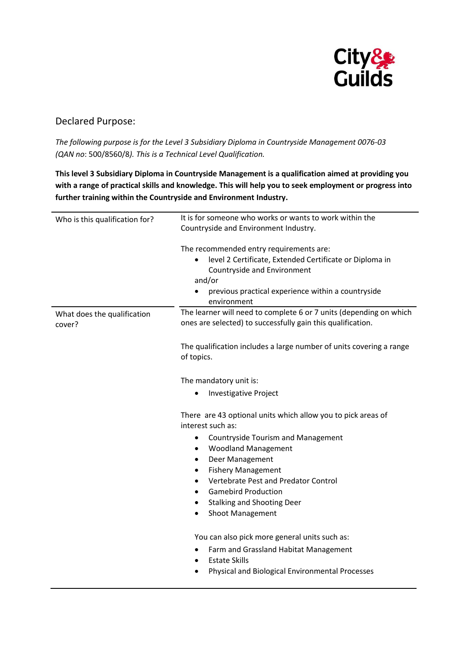

## Declared Purpose:

*The following purpose is for the Level 3 Subsidiary Diploma in Countryside Management 0076-03 (QAN no*: 500/8560/8*). This is a Technical Level Qualification.*

**This level 3 Subsidiary Diploma in Countryside Management is a qualification aimed at providing you with a range of practical skills and knowledge. This will help you to seek employment or progress into further training within the Countryside and Environment Industry.**

| Who is this qualification for?        | It is for someone who works or wants to work within the<br>Countryside and Environment Industry.                                                                                                                 |
|---------------------------------------|------------------------------------------------------------------------------------------------------------------------------------------------------------------------------------------------------------------|
|                                       | The recommended entry requirements are:<br>level 2 Certificate, Extended Certificate or Diploma in<br>Countryside and Environment<br>and/or<br>previous practical experience within a countryside<br>environment |
| What does the qualification<br>cover? | The learner will need to complete 6 or 7 units (depending on which<br>ones are selected) to successfully gain this qualification.                                                                                |
|                                       | The qualification includes a large number of units covering a range<br>of topics.                                                                                                                                |
|                                       | The mandatory unit is:                                                                                                                                                                                           |
|                                       | <b>Investigative Project</b><br>$\bullet$                                                                                                                                                                        |
|                                       | There are 43 optional units which allow you to pick areas of<br>interest such as:                                                                                                                                |
|                                       | <b>Countryside Tourism and Management</b><br>$\bullet$                                                                                                                                                           |
|                                       | <b>Woodland Management</b><br>$\bullet$                                                                                                                                                                          |
|                                       | Deer Management<br>$\bullet$<br><b>Fishery Management</b><br>$\bullet$                                                                                                                                           |
|                                       | Vertebrate Pest and Predator Control<br>$\bullet$                                                                                                                                                                |
|                                       | <b>Gamebird Production</b><br>$\bullet$                                                                                                                                                                          |
|                                       | <b>Stalking and Shooting Deer</b><br>$\bullet$                                                                                                                                                                   |
|                                       | <b>Shoot Management</b><br>$\bullet$                                                                                                                                                                             |
|                                       | You can also pick more general units such as:                                                                                                                                                                    |
|                                       | Farm and Grassland Habitat Management<br>$\bullet$                                                                                                                                                               |
|                                       | <b>Estate Skills</b><br>$\bullet$<br>Physical and Biological Environmental Processes                                                                                                                             |
|                                       |                                                                                                                                                                                                                  |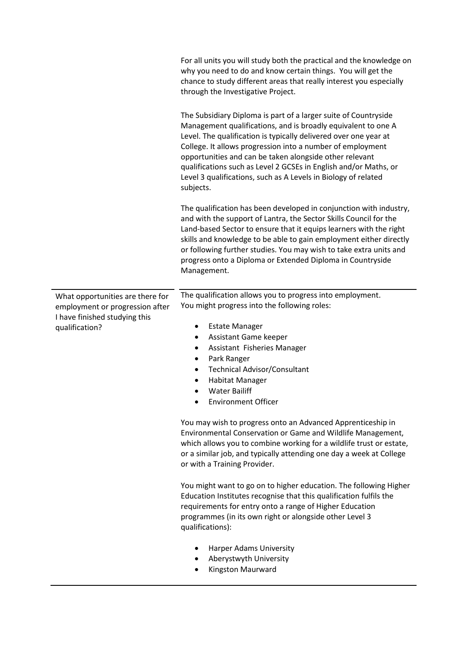|                                                                                                                        | For all units you will study both the practical and the knowledge on<br>why you need to do and know certain things. You will get the<br>chance to study different areas that really interest you especially<br>through the Investigative Project.                                                                                                                                                                                                                                |
|------------------------------------------------------------------------------------------------------------------------|----------------------------------------------------------------------------------------------------------------------------------------------------------------------------------------------------------------------------------------------------------------------------------------------------------------------------------------------------------------------------------------------------------------------------------------------------------------------------------|
|                                                                                                                        | The Subsidiary Diploma is part of a larger suite of Countryside<br>Management qualifications, and is broadly equivalent to one A<br>Level. The qualification is typically delivered over one year at<br>College. It allows progression into a number of employment<br>opportunities and can be taken alongside other relevant<br>qualifications such as Level 2 GCSEs in English and/or Maths, or<br>Level 3 qualifications, such as A Levels in Biology of related<br>subjects. |
|                                                                                                                        | The qualification has been developed in conjunction with industry,<br>and with the support of Lantra, the Sector Skills Council for the<br>Land-based Sector to ensure that it equips learners with the right<br>skills and knowledge to be able to gain employment either directly<br>or following further studies. You may wish to take extra units and<br>progress onto a Diploma or Extended Diploma in Countryside<br>Management.                                           |
| What opportunities are there for<br>employment or progression after<br>I have finished studying this<br>qualification? | The qualification allows you to progress into employment.<br>You might progress into the following roles:                                                                                                                                                                                                                                                                                                                                                                        |
|                                                                                                                        | <b>Estate Manager</b><br>$\bullet$<br>Assistant Game keeper<br>$\bullet$<br>Assistant Fisheries Manager<br>٠<br>Park Ranger<br>٠<br><b>Technical Advisor/Consultant</b><br><b>Habitat Manager</b><br><b>Water Bailiff</b><br><b>Environment Officer</b>                                                                                                                                                                                                                          |
|                                                                                                                        | You may wish to progress onto an Advanced Apprenticeship in<br>Environmental Conservation or Game and Wildlife Management,<br>which allows you to combine working for a wildlife trust or estate,<br>or a similar job, and typically attending one day a week at College<br>or with a Training Provider.                                                                                                                                                                         |
|                                                                                                                        | You might want to go on to higher education. The following Higher<br>Education Institutes recognise that this qualification fulfils the<br>requirements for entry onto a range of Higher Education<br>programmes (in its own right or alongside other Level 3<br>qualifications):                                                                                                                                                                                                |
|                                                                                                                        | Harper Adams University<br>Aberystwyth University<br>Kingston Maurward                                                                                                                                                                                                                                                                                                                                                                                                           |